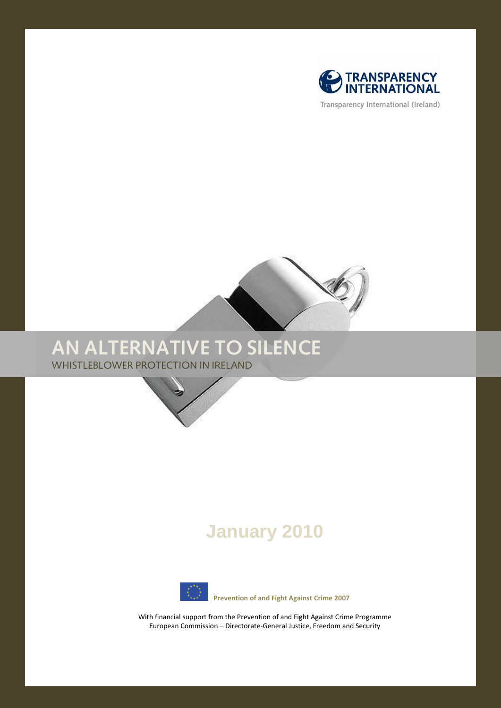

Transparency International (Ireland)



# **AN ALTERNATIVE TO SILENCE**

WHISTLEBLOWER PROTECTION IN IRELAND



# **January 2010**



 **Prevention of and Fight Against Crime 2007**

With financial support from the Prevention of and Fight Against Crime Programme European Commission – Directorate-General Justice, Freedom and Security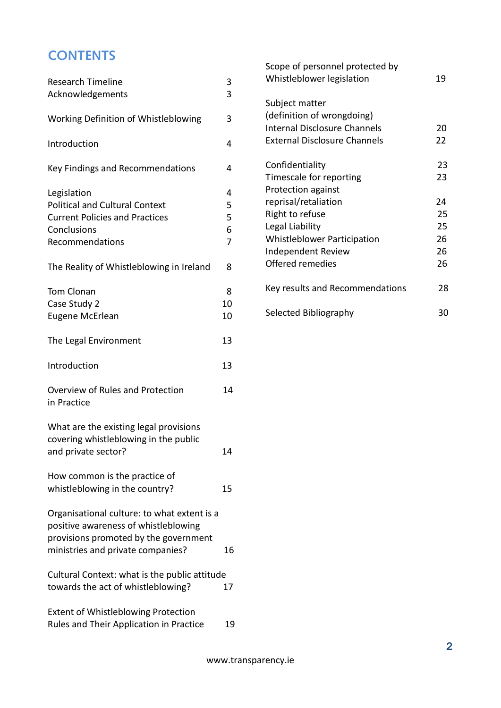# **CONTENTS**

| <b>Research Timeline</b><br>Acknowledgements                                                                                    | 3<br>3                             |
|---------------------------------------------------------------------------------------------------------------------------------|------------------------------------|
| Working Definition of Whistleblowing                                                                                            | 3                                  |
| Introduction                                                                                                                    | 4                                  |
| Key Findings and Recommendations                                                                                                | 4                                  |
| Legislation<br><b>Political and Cultural Context</b><br><b>Current Policies and Practices</b><br>Conclusions<br>Recommendations | 4<br>5<br>5<br>6<br>$\overline{7}$ |
| The Reality of Whistleblowing in Ireland                                                                                        | 8                                  |
| <b>Tom Clonan</b><br>Case Study 2<br><b>Eugene McErlean</b>                                                                     | 8<br>10<br>10                      |
| The Legal Environment                                                                                                           | 13                                 |
| Introduction                                                                                                                    | 13                                 |
| Overview of Rules and Protection<br>in Practice                                                                                 | 14                                 |
| What are the existing legal provisions<br>covering whistleblowing in the public<br>and private sector?                          | 14                                 |
| How common is the practice of<br>whistleblowing in the country?                                                                 | 15                                 |
| Organisational culture: to what extent is a<br>positive awareness of whistleblowing<br>provisions promoted by the government    |                                    |
| ministries and private companies?                                                                                               | 16                                 |
| Cultural Context: what is the public attitude<br>towards the act of whistleblowing?                                             | 17                                 |
| <b>Extent of Whistleblowing Protection</b><br>Rules and Their Application in Practice                                           | 19                                 |

| Scope of personnel protected by<br>Whistleblower legislation | 19 |
|--------------------------------------------------------------|----|
| Subject matter                                               |    |
| (definition of wrongdoing)                                   |    |
| <b>Internal Disclosure Channels</b>                          | 20 |
| <b>External Disclosure Channels</b>                          | 22 |
| Confidentiality                                              | 23 |
| Timescale for reporting                                      | 23 |
| <b>Protection against</b>                                    |    |
| reprisal/retaliation                                         | 24 |
| Right to refuse                                              | 25 |
| Legal Liability                                              | 25 |
| <b>Whistleblower Participation</b>                           | 26 |
| Independent Review                                           | 26 |
| Offered remedies                                             | 26 |
| Key results and Recommendations                              | 28 |
| Selected Bibliography                                        | 30 |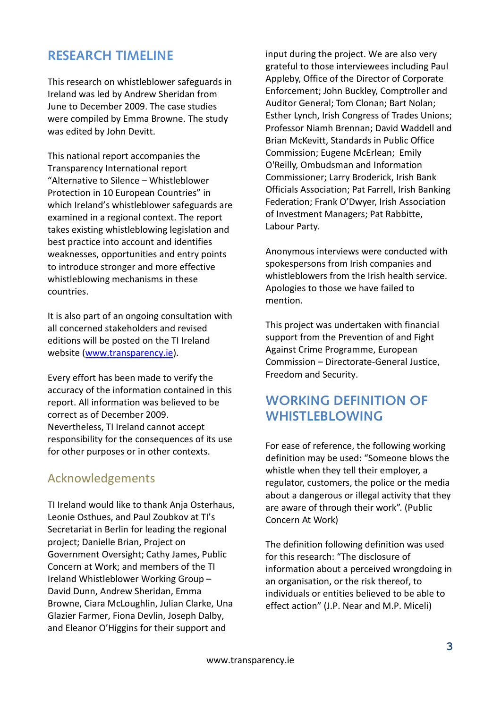### **RESEARCH TIMELINE**

This research on whistleblower safeguards in Ireland was led by Andrew Sheridan from June to December 2009. The case studies were compiled by Emma Browne. The study was edited by John Devitt.

This national report accompanies the Transparency International report "Alternative to Silence – Whistleblower Protection in 10 European Countries" in which Ireland's whistleblower safeguards are examined in a regional context. The report takes existing whistleblowing legislation and best practice into account and identifies weaknesses, opportunities and entry points to introduce stronger and more effective whistleblowing mechanisms in these countries.

It is also part of an ongoing consultation with all concerned stakeholders and revised editions will be posted on the TI Ireland website [\(www.transparency.ie\)](http://www.transparency.ie/).

Every effort has been made to verify the accuracy of the information contained in this report. All information was believed to be correct as of December 2009. Nevertheless, TI Ireland cannot accept responsibility for the consequences of its use for other purposes or in other contexts.

### Acknowledgements

TI Ireland would like to thank Anja Osterhaus, Leonie Osthues, and Paul Zoubkov at TI's Secretariat in Berlin for leading the regional project; Danielle Brian, Project on Government Oversight; Cathy James, Public Concern at Work; and members of the TI Ireland Whistleblower Working Group – David Dunn, Andrew Sheridan, Emma Browne, Ciara McLoughlin, Julian Clarke, Una Glazier Farmer, Fiona Devlin, Joseph Dalby, and Eleanor O'Higgins for their support and

input during the project. We are also very grateful to those interviewees including Paul Appleby, Office of the Director of Corporate Enforcement; John Buckley, Comptroller and Auditor General; Tom Clonan; Bart Nolan; Esther Lynch, Irish Congress of Trades Unions; Professor Niamh Brennan; David Waddell and Brian McKevitt, Standards in Public Office Commission; Eugene McErlean; Emily O'Reilly, Ombudsman and Information Commissioner; Larry Broderick, Irish Bank Officials Association; Pat Farrell, Irish Banking Federation; Frank O'Dwyer, Irish Association of Investment Managers; Pat Rabbitte, Labour Party.

Anonymous interviews were conducted with spokespersons from Irish companies and whistleblowers from the Irish health service. Apologies to those we have failed to mention.

This project was undertaken with financial support from the Prevention of and Fight Against Crime Programme, European Commission – Directorate-General Justice, Freedom and Security.

# **WORKING DEFINITION OF WHISTLEBLOWING**

For ease of reference, the following working definition may be used: "Someone blows the whistle when they tell their employer, a regulator, customers, the police or the media about a dangerous or illegal activity that they are aware of through their work". (Public Concern At Work)

The definition following definition was used for this research: "The disclosure of information about a perceived wrongdoing in an organisation, or the risk thereof, to individuals or entities believed to be able to effect action" (J.P. Near and M.P. Miceli)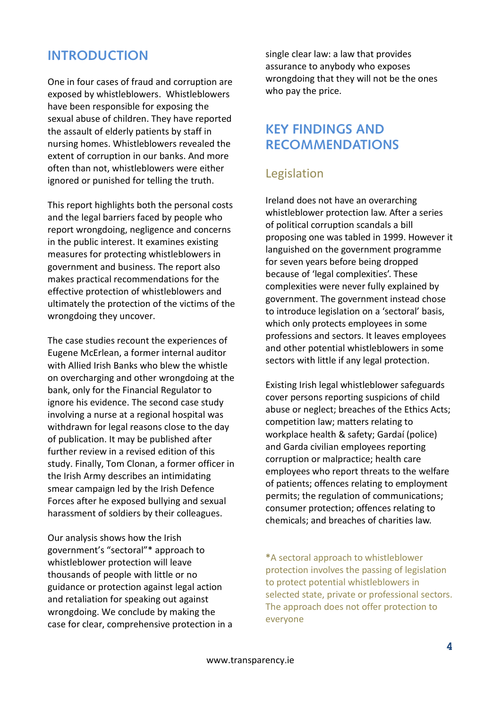### **INTRODUCTION**

One in four cases of fraud and corruption are exposed by whistleblowers. Whistleblowers have been responsible for exposing the sexual abuse of children. They have reported the assault of elderly patients by staff in nursing homes. Whistleblowers revealed the extent of corruption in our banks. And more often than not, whistleblowers were either ignored or punished for telling the truth.

This report highlights both the personal costs and the legal barriers faced by people who report wrongdoing, negligence and concerns in the public interest. It examines existing measures for protecting whistleblowers in government and business. The report also makes practical recommendations for the effective protection of whistleblowers and ultimately the protection of the victims of the wrongdoing they uncover.

The case studies recount the experiences of Eugene McErlean, a former internal auditor with Allied Irish Banks who blew the whistle on overcharging and other wrongdoing at the bank, only for the Financial Regulator to ignore his evidence. The second case study involving a nurse at a regional hospital was withdrawn for legal reasons close to the day of publication. It may be published after further review in a revised edition of this study. Finally, Tom Clonan, a former officer in the Irish Army describes an intimidating smear campaign led by the Irish Defence Forces after he exposed bullying and sexual harassment of soldiers by their colleagues.

Our analysis shows how the Irish government's "sectoral"\* approach to whistleblower protection will leave thousands of people with little or no guidance or protection against legal action and retaliation for speaking out against wrongdoing. We conclude by making the case for clear, comprehensive protection in a single clear law: a law that provides assurance to anybody who exposes wrongdoing that they will not be the ones who pay the price.

### **KEY FINDINGS AND RECOMMENDATIONS**

### Legislation

Ireland does not have an overarching whistleblower protection law. After a series of political corruption scandals a bill proposing one was tabled in 1999. However it languished on the government programme for seven years before being dropped because of 'legal complexities'. These complexities were never fully explained by government. The government instead chose to introduce legislation on a 'sectoral' basis, which only protects employees in some professions and sectors. It leaves employees and other potential whistleblowers in some sectors with little if any legal protection.

Existing Irish legal whistleblower safeguards cover persons reporting suspicions of child abuse or neglect; breaches of the Ethics Acts; competition law; matters relating to workplace health & safety; Gardaí (police) and Garda civilian employees reporting corruption or malpractice; health care employees who report threats to the welfare of patients; offences relating to employment permits; the regulation of communications; consumer protection; offences relating to chemicals; and breaches of charities law.

**\***A sectoral approach to whistleblower protection involves the passing of legislation to protect potential whistleblowers in selected state, private or professional sectors. The approach does not offer protection to everyone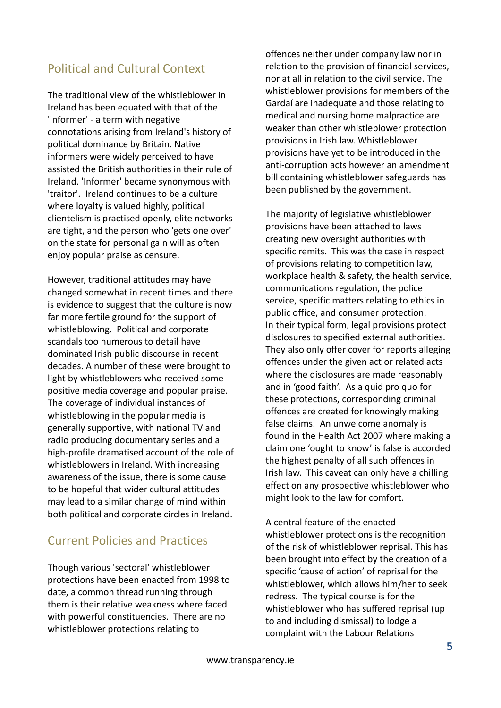### Political and Cultural Context

The traditional view of the whistleblower in Ireland has been equated with that of the 'informer' - a term with negative connotations arising from Ireland's history of political dominance by Britain. Native informers were widely perceived to have assisted the British authorities in their rule of Ireland. 'Informer' became synonymous with 'traitor'. Ireland continues to be a culture where loyalty is valued highly, political clientelism is practised openly, elite networks are tight, and the person who 'gets one over' on the state for personal gain will as often enjoy popular praise as censure.

However, traditional attitudes may have changed somewhat in recent times and there is evidence to suggest that the culture is now far more fertile ground for the support of whistleblowing. Political and corporate scandals too numerous to detail have dominated Irish public discourse in recent decades. A number of these were brought to light by whistleblowers who received some positive media coverage and popular praise. The coverage of individual instances of whistleblowing in the popular media is generally supportive, with national TV and radio producing documentary series and a high-profile dramatised account of the role of whistleblowers in Ireland. With increasing awareness of the issue, there is some cause to be hopeful that wider cultural attitudes may lead to a similar change of mind within both political and corporate circles in Ireland.

### Current Policies and Practices

Though various 'sectoral' whistleblower protections have been enacted from 1998 to date, a common thread running through them is their relative weakness where faced with powerful constituencies. There are no whistleblower protections relating to

offences neither under company law nor in relation to the provision of financial services, nor at all in relation to the civil service. The whistleblower provisions for members of the Gardaí are inadequate and those relating to medical and nursing home malpractice are weaker than other whistleblower protection provisions in Irish law. Whistleblower provisions have yet to be introduced in the anti-corruption acts however an amendment bill containing whistleblower safeguards has been published by the government.

The majority of legislative whistleblower provisions have been attached to laws creating new oversight authorities with specific remits. This was the case in respect of provisions relating to competition law, workplace health & safety, the health service, communications regulation, the police service, specific matters relating to ethics in public office, and consumer protection. In their typical form, legal provisions protect disclosures to specified external authorities. They also only offer cover for reports alleging offences under the given act or related acts where the disclosures are made reasonably and in 'good faith'. As a quid pro quo for these protections, corresponding criminal offences are created for knowingly making false claims. An unwelcome anomaly is found in the Health Act 2007 where making a claim one 'ought to know' is false is accorded the highest penalty of all such offences in Irish law. This caveat can only have a chilling effect on any prospective whistleblower who might look to the law for comfort.

A central feature of the enacted whistleblower protections is the recognition of the risk of whistleblower reprisal. This has been brought into effect by the creation of a specific 'cause of action' of reprisal for the whistleblower, which allows him/her to seek redress. The typical course is for the whistleblower who has suffered reprisal (up to and including dismissal) to lodge a complaint with the Labour Relations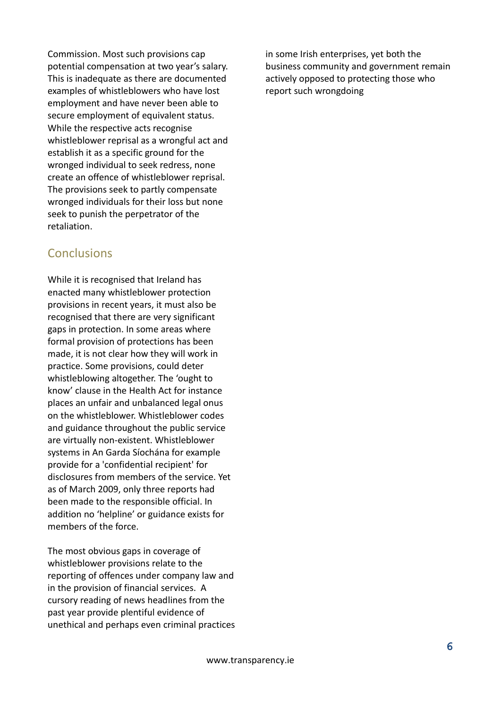Commission. Most such provisions cap potential compensation at two year's salary. This is inadequate as there are documented examples of whistleblowers who have lost employment and have never been able to secure employment of equivalent status. While the respective acts recognise whistleblower reprisal as a wrongful act and establish it as a specific ground for the wronged individual to seek redress, none create an offence of whistleblower reprisal. The provisions seek to partly compensate wronged individuals for their loss but none seek to punish the perpetrator of the retaliation.

### **Conclusions**

While it is recognised that Ireland has enacted many whistleblower protection provisions in recent years, it must also be recognised that there are very significant gaps in protection. In some areas where formal provision of protections has been made, it is not clear how they will work in practice. Some provisions, could deter whistleblowing altogether. The 'ought to know' clause in the Health Act for instance places an unfair and unbalanced legal onus on the whistleblower. Whistleblower codes and guidance throughout the public service are virtually non-existent. Whistleblower systems in An Garda Síochána for example provide for a 'confidential recipient' for disclosures from members of the service. Yet as of March 2009, only three reports had been made to the responsible official. In addition no 'helpline' or guidance exists for members of the force.

The most obvious gaps in coverage of whistleblower provisions relate to the reporting of offences under company law and in the provision of financial services. A cursory reading of news headlines from the past year provide plentiful evidence of unethical and perhaps even criminal practices in some Irish enterprises, yet both the business community and government remain actively opposed to protecting those who report such wrongdoing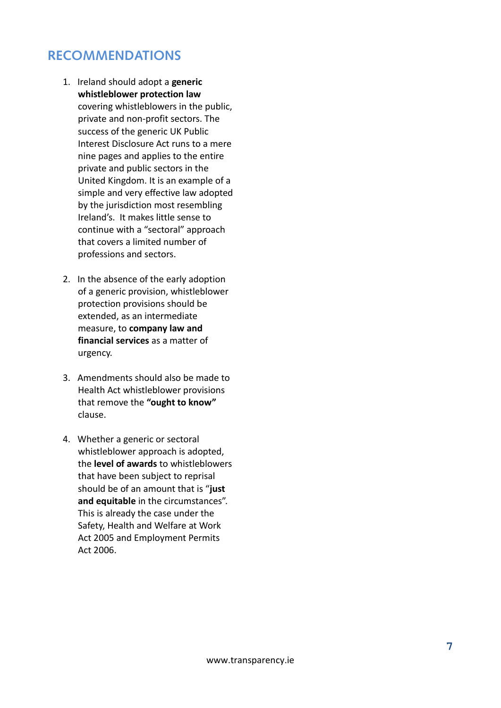# **RECOMMENDATIONS**

- 1. Ireland should adopt a **generic whistleblower protection law** covering whistleblowers in the public, private and non-profit sectors. The success of the generic UK Public Interest Disclosure Act runs to a mere nine pages and applies to the entire private and public sectors in the United Kingdom. It is an example of a simple and very effective law adopted by the jurisdiction most resembling Ireland's. It makes little sense to continue with a "sectoral" approach that covers a limited number of professions and sectors.
- 2. In the absence of the early adoption of a generic provision, whistleblower protection provisions should be extended, as an intermediate measure, to **company law and financial services** as a matter of urgency.
- 3. Amendments should also be made to Health Act whistleblower provisions that remove the **"ought to know"** clause.
- 4. Whether a generic or sectoral whistleblower approach is adopted, the **level of awards** to whistleblowers that have been subject to reprisal should be of an amount that is "**just and equitable** in the circumstances". This is already the case under the Safety, Health and Welfare at Work Act 2005 and Employment Permits Act 2006.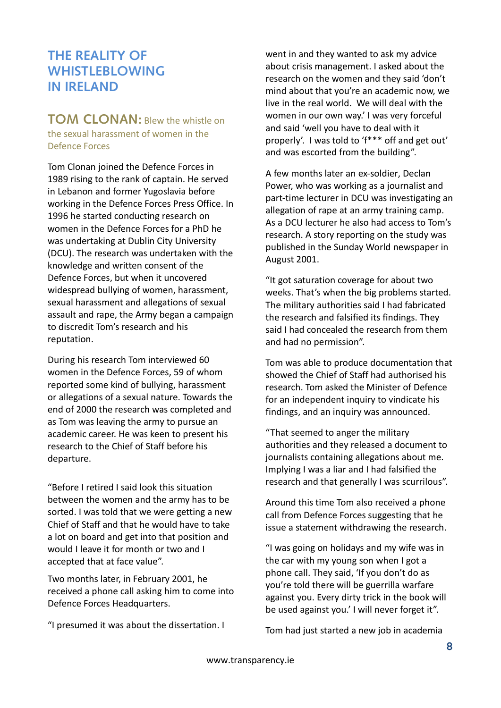### **THE REALITY OF WHISTLEBLOWING IN IRELAND**

### **TOM CLONAN:** Blew the whistle on the sexual harassment of women in the Defence Forces

Tom Clonan joined the Defence Forces in 1989 rising to the rank of captain. He served in Lebanon and former Yugoslavia before working in the Defence Forces Press Office. In 1996 he started conducting research on women in the Defence Forces for a PhD he was undertaking at Dublin City University (DCU). The research was undertaken with the knowledge and written consent of the Defence Forces, but when it uncovered widespread bullying of women, harassment, sexual harassment and allegations of sexual assault and rape, the Army began a campaign to discredit Tom's research and his reputation.

During his research Tom interviewed 60 women in the Defence Forces, 59 of whom reported some kind of bullying, harassment or allegations of a sexual nature. Towards the end of 2000 the research was completed and as Tom was leaving the army to pursue an academic career. He was keen to present his research to the Chief of Staff before his departure.

"Before I retired I said look this situation between the women and the army has to be sorted. I was told that we were getting a new Chief of Staff and that he would have to take a lot on board and get into that position and would I leave it for month or two and I accepted that at face value".

Two months later, in February 2001, he received a phone call asking him to come into Defence Forces Headquarters.

"I presumed it was about the dissertation. I

went in and they wanted to ask my advice about crisis management. I asked about the research on the women and they said 'don't mind about that you're an academic now, we live in the real world. We will deal with the women in our own way.' I was very forceful and said 'well you have to deal with it properly'. I was told to 'f\*\*\* off and get out' and was escorted from the building".

A few months later an ex-soldier, Declan Power, who was working as a journalist and part-time lecturer in DCU was investigating an allegation of rape at an army training camp. As a DCU lecturer he also had access to Tom's research. A story reporting on the study was published in the Sunday World newspaper in August 2001.

"It got saturation coverage for about two weeks. That's when the big problems started. The military authorities said I had fabricated the research and falsified its findings. They said I had concealed the research from them and had no permission".

Tom was able to produce documentation that showed the Chief of Staff had authorised his research. Tom asked the Minister of Defence for an independent inquiry to vindicate his findings, and an inquiry was announced.

"That seemed to anger the military authorities and they released a document to journalists containing allegations about me. Implying I was a liar and I had falsified the research and that generally I was scurrilous".

Around this time Tom also received a phone call from Defence Forces suggesting that he issue a statement withdrawing the research.

"I was going on holidays and my wife was in the car with my young son when I got a phone call. They said, 'If you don't do as you're told there will be guerrilla warfare against you. Every dirty trick in the book will be used against you.' I will never forget it".

Tom had just started a new job in academia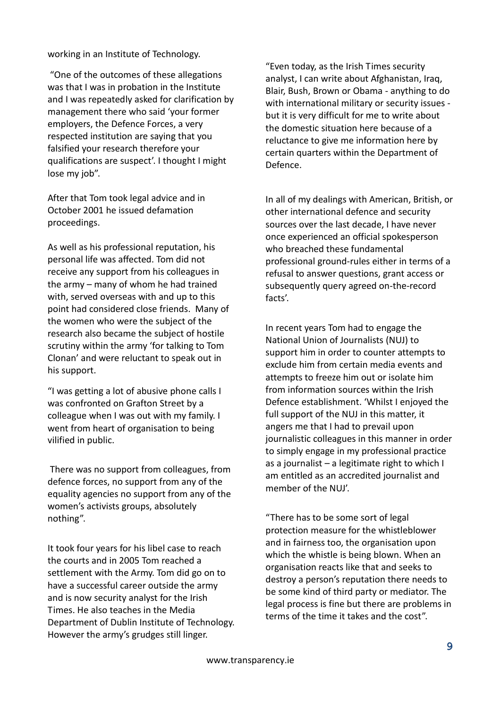working in an Institute of Technology.

"One of the outcomes of these allegations was that I was in probation in the Institute and I was repeatedly asked for clarification by management there who said 'your former employers, the Defence Forces, a very respected institution are saying that you falsified your research therefore your qualifications are suspect'. I thought I might lose my job".

After that Tom took legal advice and in October 2001 he issued defamation proceedings.

As well as his professional reputation, his personal life was affected. Tom did not receive any support from his colleagues in the army – many of whom he had trained with, served overseas with and up to this point had considered close friends. Many of the women who were the subject of the research also became the subject of hostile scrutiny within the army 'for talking to Tom Clonan' and were reluctant to speak out in his support.

"I was getting a lot of abusive phone calls I was confronted on Grafton Street by a colleague when I was out with my family. I went from heart of organisation to being vilified in public.

There was no support from colleagues, from defence forces, no support from any of the equality agencies no support from any of the women's activists groups, absolutely nothing".

It took four years for his libel case to reach the courts and in 2005 Tom reached a settlement with the Army. Tom did go on to have a successful career outside the army and is now security analyst for the Irish Times. He also teaches in the Media Department of Dublin Institute of Technology. However the army's grudges still linger.

"Even today, as the Irish Times security analyst, I can write about Afghanistan, Iraq, Blair, Bush, Brown or Obama - anything to do with international military or security issues but it is very difficult for me to write about the domestic situation here because of a reluctance to give me information here by certain quarters within the Department of Defence.

In all of my dealings with American, British, or other international defence and security sources over the last decade, I have never once experienced an official spokesperson who breached these fundamental professional ground-rules either in terms of a refusal to answer questions, grant access or subsequently query agreed on-the-record facts'.

In recent years Tom had to engage the National Union of Journalists (NUJ) to support him in order to counter attempts to exclude him from certain media events and attempts to freeze him out or isolate him from information sources within the Irish Defence establishment. 'Whilst I enjoyed the full support of the NUJ in this matter, it angers me that I had to prevail upon journalistic colleagues in this manner in order to simply engage in my professional practice as a journalist – a legitimate right to which I am entitled as an accredited journalist and member of the NUJ'.

"There has to be some sort of legal protection measure for the whistleblower and in fairness too, the organisation upon which the whistle is being blown. When an organisation reacts like that and seeks to destroy a person's reputation there needs to be some kind of third party or mediator. The legal process is fine but there are problems in terms of the time it takes and the cost".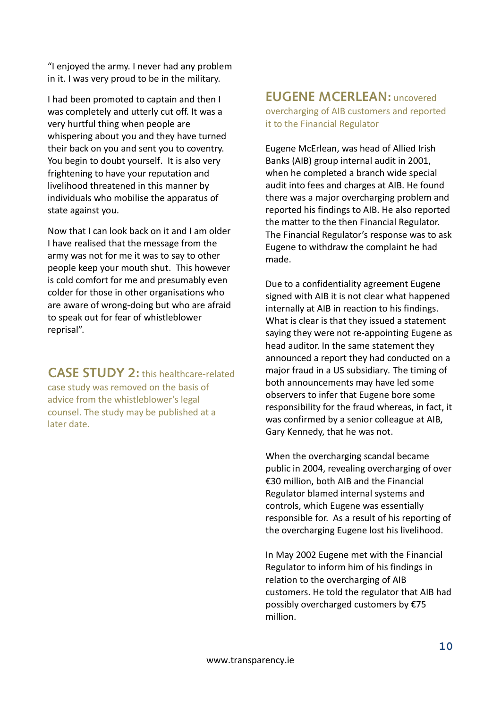"I enjoyed the army. I never had any problem in it. I was very proud to be in the military.

I had been promoted to captain and then I was completely and utterly cut off. It was a very hurtful thing when people are whispering about you and they have turned their back on you and sent you to coventry. You begin to doubt yourself. It is also very frightening to have your reputation and livelihood threatened in this manner by individuals who mobilise the apparatus of state against you.

Now that I can look back on it and I am older I have realised that the message from the army was not for me it was to say to other people keep your mouth shut. This however is cold comfort for me and presumably even colder for those in other organisations who are aware of wrong-doing but who are afraid to speak out for fear of whistleblower reprisal".

**CASE STUDY 2:** this healthcare-related case study was removed on the basis of

advice from the whistleblower's legal counsel. The study may be published at a later date.

### **EUGENE MCERLEAN:** uncovered overcharging of AIB customers and reported it to the Financial Regulator

Eugene McErlean, was head of Allied Irish Banks (AIB) group internal audit in 2001, when he completed a branch wide special audit into fees and charges at AIB. He found there was a major overcharging problem and reported his findings to AIB. He also reported the matter to the then Financial Regulator. The Financial Regulator's response was to ask Eugene to withdraw the complaint he had made.

Due to a confidentiality agreement Eugene signed with AIB it is not clear what happened internally at AIB in reaction to his findings. What is clear is that they issued a statement saying they were not re-appointing Eugene as head auditor. In the same statement they announced a report they had conducted on a major fraud in a US subsidiary*.* The timing of both announcements may have led some observers to infer that Eugene bore some responsibility for the fraud whereas, in fact, it was confirmed by a senior colleague at AIB, Gary Kennedy, that he was not.

When the overcharging scandal became public in 2004, revealing overcharging of over €30 million, both AIB and the Financial Regulator blamed internal systems and controls, which Eugene was essentially responsible for. As a result of his reporting of the overcharging Eugene lost his livelihood.

In May 2002 Eugene met with the Financial Regulator to inform him of his findings in relation to the overcharging of AIB customers. He told the regulator that AIB had possibly overcharged customers by €75 million.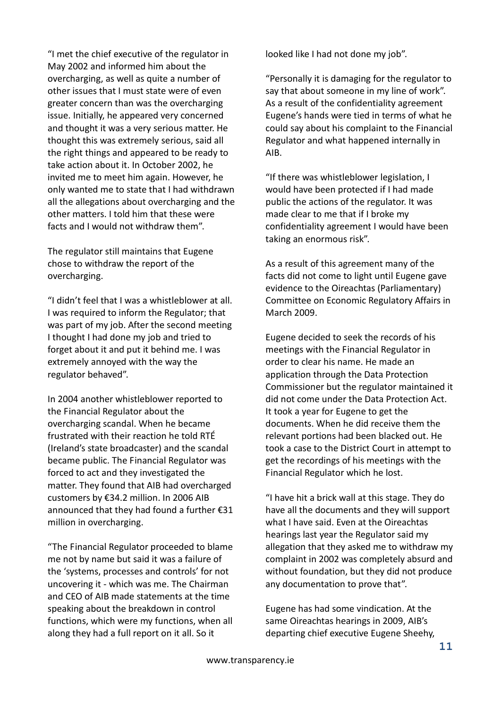"I met the chief executive of the regulator in May 2002 and informed him about the overcharging, as well as quite a number of other issues that I must state were of even greater concern than was the overcharging issue. Initially, he appeared very concerned and thought it was a very serious matter. He thought this was extremely serious, said all the right things and appeared to be ready to take action about it. In October 2002, he invited me to meet him again. However, he only wanted me to state that I had withdrawn all the allegations about overcharging and the other matters. I told him that these were facts and I would not withdraw them".

The regulator still maintains that Eugene chose to withdraw the report of the overcharging.

"I didn't feel that I was a whistleblower at all. I was required to inform the Regulator; that was part of my job. After the second meeting I thought I had done my job and tried to forget about it and put it behind me. I was extremely annoyed with the way the regulator behaved".

In 2004 another whistleblower reported to the Financial Regulator about the overcharging scandal. When he became frustrated with their reaction he told RTÉ (Ireland's state broadcaster) and the scandal became public. The Financial Regulator was forced to act and they investigated the matter. They found that AIB had overcharged customers by €34.2 million. In 2006 AIB announced that they had found a further €31 million in overcharging.

"The Financial Regulator proceeded to blame me not by name but said it was a failure of the 'systems, processes and controls' for not uncovering it - which was me. The Chairman and CEO of AIB made statements at the time speaking about the breakdown in control functions, which were my functions, when all along they had a full report on it all. So it

looked like I had not done my job".

"Personally it is damaging for the regulator to say that about someone in my line of work". As a result of the confidentiality agreement Eugene's hands were tied in terms of what he could say about his complaint to the Financial Regulator and what happened internally in AIB.

"If there was whistleblower legislation, I would have been protected if I had made public the actions of the regulator. It was made clear to me that if I broke my confidentiality agreement I would have been taking an enormous risk".

As a result of this agreement many of the facts did not come to light until Eugene gave evidence to the Oireachtas (Parliamentary) Committee on Economic Regulatory Affairs in March 2009.

Eugene decided to seek the records of his meetings with the Financial Regulator in order to clear his name. He made an application through the Data Protection Commissioner but the regulator maintained it did not come under the Data Protection Act. It took a year for Eugene to get the documents. When he did receive them the relevant portions had been blacked out. He took a case to the District Court in attempt to get the recordings of his meetings with the Financial Regulator which he lost.

"I have hit a brick wall at this stage. They do have all the documents and they will support what I have said. Even at the Oireachtas hearings last year the Regulator said my allegation that they asked me to withdraw my complaint in 2002 was completely absurd and without foundation, but they did not produce any documentation to prove that".

Eugene has had some vindication. At the same Oireachtas hearings in 2009, AIB's departing chief executive Eugene Sheehy,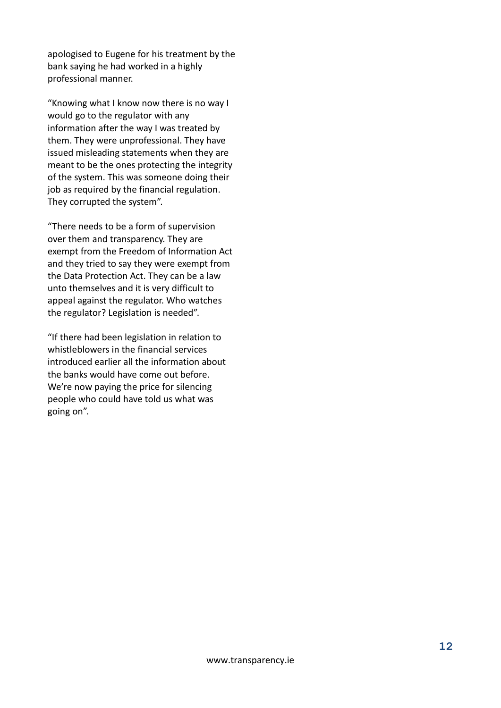apologised to Eugene for his treatment by the bank saying he had worked in a highly professional manner.

"Knowing what I know now there is no way I would go to the regulator with any information after the way I was treated by them. They were unprofessional. They have issued misleading statements when they are meant to be the ones protecting the integrity of the system. This was someone doing their job as required by the financial regulation. They corrupted the system".

"There needs to be a form of supervision over them and transparency. They are exempt from the Freedom of Information Act and they tried to say they were exempt from the Data Protection Act. They can be a law unto themselves and it is very difficult to appeal against the regulator. Who watches the regulator? Legislation is needed".

"If there had been legislation in relation to whistleblowers in the financial services introduced earlier all the information about the banks would have come out before. We're now paying the price for silencing people who could have told us what was going on".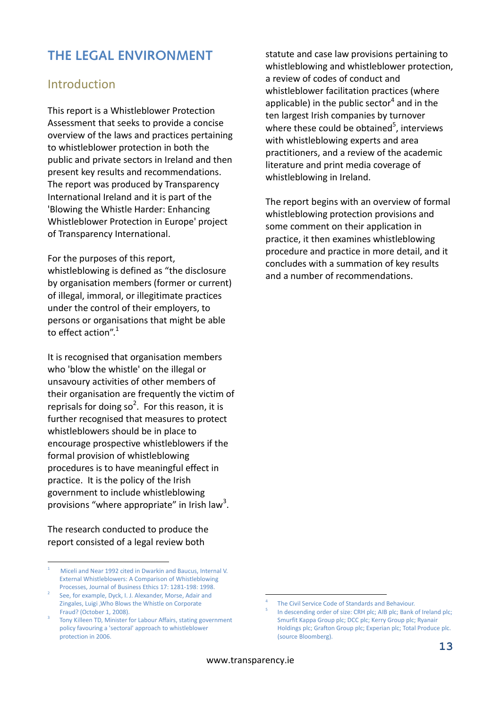# **THE LEGAL ENVIRONMENT**

### Introduction

This report is a Whistleblower Protection Assessment that seeks to provide a concise overview of the laws and practices pertaining to whistleblower protection in both the public and private sectors in Ireland and then present key results and recommendations. The report was produced by Transparency International Ireland and it is part of the 'Blowing the Whistle Harder: Enhancing Whistleblower Protection in Europe' project of Transparency International.

For the purposes of this report,

whistleblowing is defined as "the disclosure by organisation members (former or current) of illegal, immoral, or illegitimate practices under the control of their employers, to persons or organisations that might be able to effect action".<sup>1</sup>

It is recognised that organisation members who 'blow the whistle' on the illegal or unsavoury activities of other members of their organisation are frequently the victim of reprisals for doing so<sup>2</sup>. For this reason, it is further recognised that measures to protect whistleblowers should be in place to encourage prospective whistleblowers if the formal provision of whistleblowing procedures is to have meaningful effect in practice. It is the policy of the Irish government to include whistleblowing provisions "where appropriate" in Irish law<sup>3</sup>.

The research conducted to produce the report consisted of a legal review both

<u>.</u>

statute and case law provisions pertaining to whistleblowing and whistleblower protection, a review of codes of conduct and whistleblower facilitation practices (where applicable) in the public sector<sup>4</sup> and in the ten largest Irish companies by turnover where these could be obtained<sup>5</sup>, interviews with whistleblowing experts and area practitioners, and a review of the academic literature and print media coverage of whistleblowing in Ireland.

The report begins with an overview of formal whistleblowing protection provisions and some comment on their application in practice, it then examines whistleblowing procedure and practice in more detail, and it concludes with a summation of key results and a number of recommendations.

<u>.</u>

<sup>1</sup> Miceli and Near 1992 cited in Dwarkin and Baucus, Internal V. External Whistleblowers: A Comparison of Whistleblowing Processes, Journal of Business Ethics 17: 1281-198: 1998.

<sup>2</sup> See, for example, Dyck, I. J. Alexander, Morse, Adair and Zingales, Luigi ,Who Blows the Whistle on Corporate Fraud? (October 1, 2008).

<sup>3</sup> Tony Killeen TD, Minister for Labour Affairs, stating government policy favouring a 'sectoral' approach to whistleblower protection in 2006.

<sup>4</sup> The Civil Service Code of Standards and Behaviour.

<sup>5</sup> In descending order of size: CRH plc; AIB plc; Bank of Ireland plc; Smurfit Kappa Group plc; DCC plc; Kerry Group plc; Ryanair Holdings plc; Grafton Group plc; Experian plc; Total Produce plc. (source Bloomberg).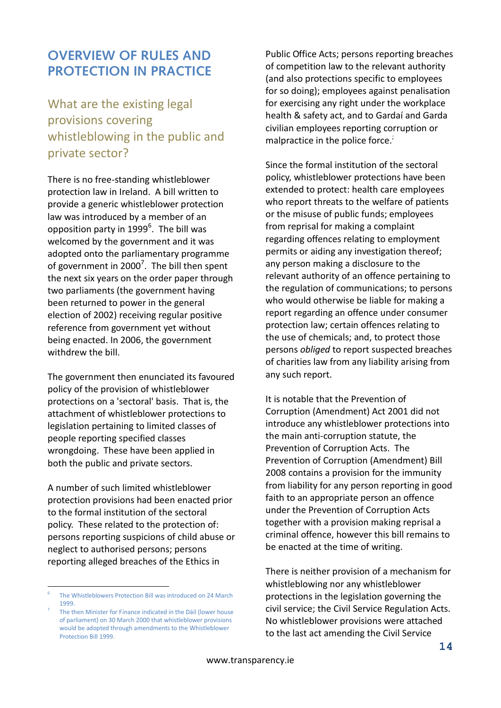### **OVERVIEW OF RULES AND PROTECTION IN PRACTICE**

What are the existing legal provisions covering whistleblowing in the public and private sector?

There is no free-standing whistleblower protection law in Ireland. A bill written to provide a generic whistleblower protection law was introduced by a member of an opposition party in  $1999^6$ . The bill was welcomed by the government and it was adopted onto the parliamentary programme of government in 2000<sup>7</sup>. The bill then spent the next six years on the order paper through two parliaments (the government having been returned to power in the general election of 2002) receiving regular positive reference from government yet without being enacted. In 2006, the government withdrew the bill.

The government then enunciated its favoured policy of the provision of whistleblower protections on a 'sectoral' basis. That is, the attachment of whistleblower protections to legislation pertaining to limited classes of people reporting specified classes wrongdoing. These have been applied in both the public and private sectors.

A number of such limited whistleblower protection provisions had been enacted prior to the formal institution of the sectoral policy. These related to the protection of: persons reporting suspicions of child abuse or neglect to authorised persons; persons reporting alleged breaches of the Ethics in

<u>.</u>

Public Office Acts; persons reporting breaches of competition law to the relevant authority (and also protections specific to employees for so doing); employees against penalisation for exercising any right under the workplace health & safety act, and to Gardaí and Garda civilian employees reporting corruption or malpractice in the police force. $\dot{i}$ 

Since the formal institution of the sectoral policy, whistleblower protections have been extended to protect: health care employees who report threats to the welfare of patients or the misuse of public funds; employees from reprisal for making a complaint regarding offences relating to employment permits or aiding any investigation thereof; any person making a disclosure to the relevant authority of an offence pertaining to the regulation of communications; to persons who would otherwise be liable for making a report regarding an offence under consumer protection law; certain offences relating to the use of chemicals; and, to protect those persons *obliged* to report suspected breaches of charities law from any liability arising from any such report.

It is notable that the Prevention of Corruption (Amendment) Act 2001 did not introduce any whistleblower protections into the main anti-corruption statute, the Prevention of Corruption Acts. The Prevention of Corruption (Amendment) Bill 2008 contains a provision for the immunity from liability for any person reporting in good faith to an appropriate person an offence under the Prevention of Corruption Acts together with a provision making reprisal a criminal offence, however this bill remains to be enacted at the time of writing.

There is neither provision of a mechanism for whistleblowing nor any whistleblower protections in the legislation governing the civil service; the Civil Service Regulation Acts. No whistleblower provisions were attached to the last act amending the Civil Service

<sup>6</sup> The Whistleblowers Protection Bill was introduced on 24 March 1999.

<sup>7</sup> The then Minister for Finance indicated in the Dáil (lower house of parliament) on 30 March 2000 that whistleblower provisions would be adopted through amendments to the Whistleblower Protection Bill 1999.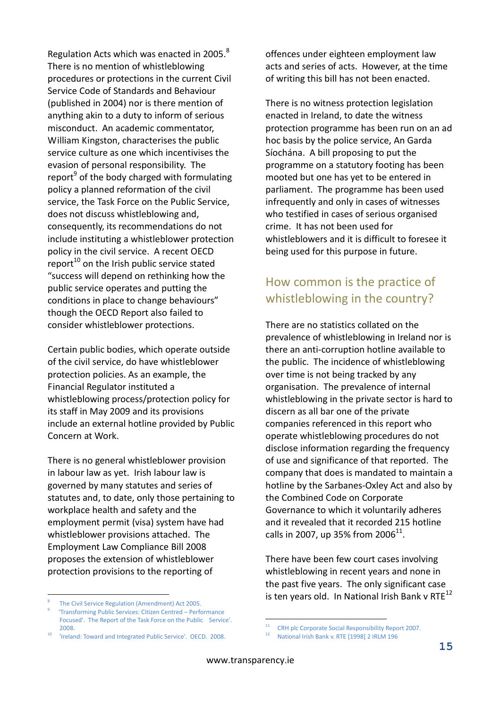Regulation Acts which was enacted in 2005. $8$ There is no mention of whistleblowing procedures or protections in the current Civil Service Code of Standards and Behaviour (published in 2004) nor is there mention of anything akin to a duty to inform of serious misconduct. An academic commentator, William Kingston, characterises the public service culture as one which incentivises the evasion of personal responsibility. The report<sup>9</sup> of the body charged with formulating policy a planned reformation of the civil service, the Task Force on the Public Service, does not discuss whistleblowing and, consequently, its recommendations do not include instituting a whistleblower protection policy in the civil service. A recent OECD report<sup>10</sup> on the Irish public service stated "success will depend on rethinking how the public service operates and putting the conditions in place to change behaviours" though the OECD Report also failed to consider whistleblower protections.

Certain public bodies, which operate outside of the civil service, do have whistleblower protection policies. As an example, the Financial Regulator instituted a whistleblowing process/protection policy for its staff in May 2009 and its provisions include an external hotline provided by Public Concern at Work.

There is no general whistleblower provision in labour law as yet. Irish labour law is governed by many statutes and series of statutes and, to date, only those pertaining to workplace health and safety and the employment permit (visa) system have had whistleblower provisions attached. The Employment Law Compliance Bill 2008 proposes the extension of whistleblower protection provisions to the reporting of

8 The Civil Service Regulation (Amendment) Act 2005.

<u>.</u>

offences under eighteen employment law acts and series of acts. However, at the time of writing this bill has not been enacted.

There is no witness protection legislation enacted in Ireland, to date the witness protection programme has been run on an ad hoc basis by the police service, An Garda Síochána. A bill proposing to put the programme on a statutory footing has been mooted but one has yet to be entered in parliament. The programme has been used infrequently and only in cases of witnesses who testified in cases of serious organised crime. It has not been used for whistleblowers and it is difficult to foresee it being used for this purpose in future.

### How common is the practice of whistleblowing in the country?

There are no statistics collated on the prevalence of whistleblowing in Ireland nor is there an anti-corruption hotline available to the public. The incidence of whistleblowing over time is not being tracked by any organisation. The prevalence of internal whistleblowing in the private sector is hard to discern as all bar one of the private companies referenced in this report who operate whistleblowing procedures do not disclose information regarding the frequency of use and significance of that reported. The company that does is mandated to maintain a hotline by the Sarbanes-Oxley Act and also by the Combined Code on Corporate Governance to which it voluntarily adheres and it revealed that it recorded 215 hotline calls in 2007, up 35% from 2006 $^{11}$ .

There have been few court cases involving whistleblowing in recent years and none in the past five years. The only significant case is ten years old. In National Irish Bank v RTE $^{12}$ 

<sup>9</sup> 'Transforming Public Services: Citizen Centred – Performance Focused'. The Report of the Task Force on the Public Service'. 2008.

<sup>10</sup> 'Ireland: Toward and Integrated Public Service'. OECD. 2008.

 $11$ <sup>11</sup> CRH plc Corporate Social Responsibility Report 2007.

<sup>12</sup> National Irish Bank v. RTE [1998] 2 IRLM 196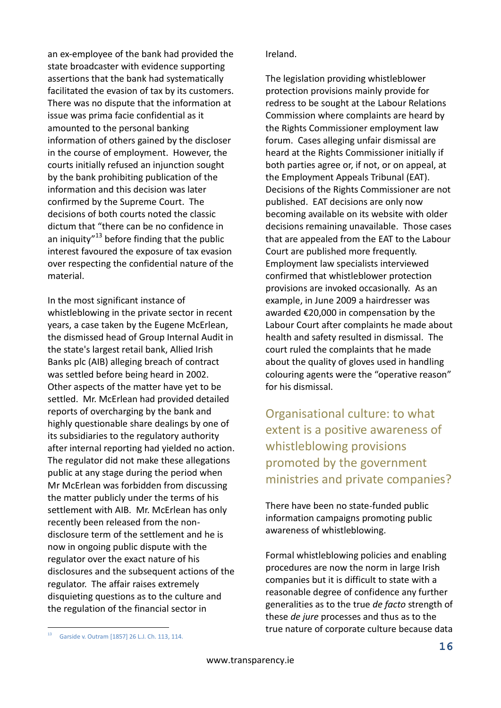an ex-employee of the bank had provided the state broadcaster with evidence supporting assertions that the bank had systematically facilitated the evasion of tax by its customers. There was no dispute that the information at issue was prima facie confidential as it amounted to the personal banking information of others gained by the discloser in the course of employment. However, the courts initially refused an injunction sought by the bank prohibiting publication of the information and this decision was later confirmed by the Supreme Court. The decisions of both courts noted the classic dictum that "there can be no confidence in an iniquity"<sup>13</sup> before finding that the public interest favoured the exposure of tax evasion over respecting the confidential nature of the material.

In the most significant instance of whistleblowing in the private sector in recent years, a case taken by the Eugene McErlean, the dismissed head of Group Internal Audit in the state's largest retail bank, Allied Irish Banks plc (AIB) alleging breach of contract was settled before being heard in 2002. Other aspects of the matter have yet to be settled. Mr. McErlean had provided detailed reports of overcharging by the bank and highly questionable share dealings by one of its subsidiaries to the regulatory authority after internal reporting had yielded no action. The regulator did not make these allegations public at any stage during the period when Mr McErlean was forbidden from discussing the matter publicly under the terms of his settlement with AIB. Mr. McErlean has only recently been released from the nondisclosure term of the settlement and he is now in ongoing public dispute with the regulator over the exact nature of his disclosures and the subsequent actions of the regulator. The affair raises extremely disquieting questions as to the culture and the regulation of the financial sector in

#### Ireland.

The legislation providing whistleblower protection provisions mainly provide for redress to be sought at the Labour Relations Commission where complaints are heard by the Rights Commissioner employment law forum. Cases alleging unfair dismissal are heard at the Rights Commissioner initially if both parties agree or, if not, or on appeal, at the Employment Appeals Tribunal (EAT). Decisions of the Rights Commissioner are not published. EAT decisions are only now becoming available on its website with older decisions remaining unavailable. Those cases that are appealed from the EAT to the Labour Court are published more frequently. Employment law specialists interviewed confirmed that whistleblower protection provisions are invoked occasionally. As an example, in June 2009 a hairdresser was awarded €20,000 in compensation by the Labour Court after complaints he made about health and safety resulted in dismissal. The court ruled the complaints that he made about the quality of gloves used in handling colouring agents were the "operative reason" for his dismissal.

Organisational culture: to what extent is a positive awareness of whistleblowing provisions promoted by the government ministries and private companies?

There have been no state-funded public information campaigns promoting public awareness of whistleblowing.

Formal whistleblowing policies and enabling procedures are now the norm in large Irish companies but it is difficult to state with a reasonable degree of confidence any further generalities as to the true *de facto* strength of these *de jure* processes and thus as to the true nature of corporate culture because data

1

<sup>13</sup> Garside v. Outram [1857] 26 L.J. Ch. 113, 114.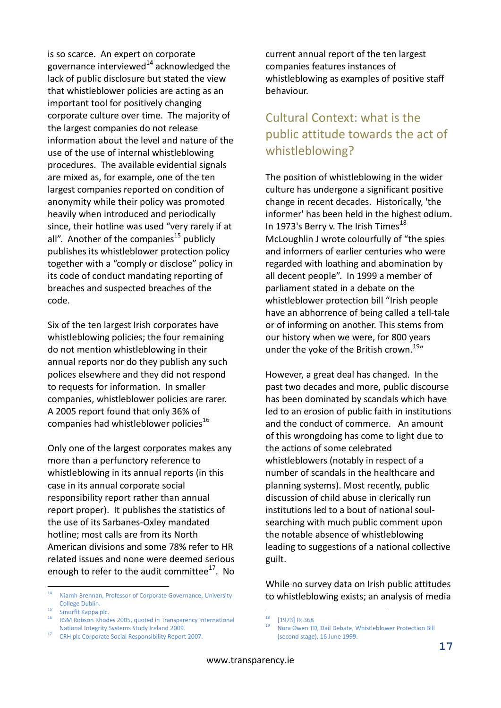is so scarce. An expert on corporate governance interviewed $^{14}$  acknowledged the lack of public disclosure but stated the view that whistleblower policies are acting as an important tool for positively changing corporate culture over time. The majority of the largest companies do not release information about the level and nature of the use of the use of internal whistleblowing procedures. The available evidential signals are mixed as, for example, one of the ten largest companies reported on condition of anonymity while their policy was promoted heavily when introduced and periodically since, their hotline was used "very rarely if at all". Another of the companies<sup>15</sup> publicly publishes its whistleblower protection policy together with a "comply or disclose" policy in its code of conduct mandating reporting of breaches and suspected breaches of the code.

Six of the ten largest Irish corporates have whistleblowing policies; the four remaining do not mention whistleblowing in their annual reports nor do they publish any such polices elsewhere and they did not respond to requests for information. In smaller companies, whistleblower policies are rarer. A 2005 report found that only 36% of companies had whistleblower policies<sup>16</sup>

Only one of the largest corporates makes any more than a perfunctory reference to whistleblowing in its annual reports (in this case in its annual corporate social responsibility report rather than annual report proper). It publishes the statistics of the use of its Sarbanes-Oxley mandated hotline; most calls are from its North American divisions and some 78% refer to HR related issues and none were deemed serious enough to refer to the audit committee $^{17}$ . No

<u>.</u>

current annual report of the ten largest companies features instances of whistleblowing as examples of positive staff behaviour.

### Cultural Context: what is the public attitude towards the act of whistleblowing?

The position of whistleblowing in the wider culture has undergone a significant positive change in recent decades. Historically, 'the informer' has been held in the highest odium. In 1973's Berry v. The Irish Times<sup>18</sup> McLoughlin J wrote colourfully of "the spies and informers of earlier centuries who were regarded with loathing and abomination by all decent people". In 1999 a member of parliament stated in a debate on the whistleblower protection bill "Irish people have an abhorrence of being called a tell-tale or of informing on another. This stems from our history when we were, for 800 years under the yoke of the British crown.<sup>19</sup>"

However, a great deal has changed. In the past two decades and more, public discourse has been dominated by scandals which have led to an erosion of public faith in institutions and the conduct of commerce. An amount of this wrongdoing has come to light due to the actions of some celebrated whistleblowers (notably in respect of a number of scandals in the healthcare and planning systems). Most recently, public discussion of child abuse in clerically run institutions led to a bout of national soulsearching with much public comment upon the notable absence of whistleblowing leading to suggestions of a national collective guilt.

While no survey data on Irish public attitudes to whistleblowing exists; an analysis of media

1

<sup>14</sup> Niamh Brennan, Professor of Corporate Governance, University College Dublin.

<sup>&</sup>lt;sup>15</sup> Smurfit Kappa plc.

<sup>16</sup> RSM Robson Rhodes 2005, quoted in Transparency International National Integrity Systems Study Ireland 2009.

<sup>17</sup> CRH plc Corporate Social Responsibility Report 2007.

 $18$  [1973] IR 368

<sup>19</sup> Nora Owen TD, Dail Debate, Whistleblower Protection Bill (second stage), 16 June 1999.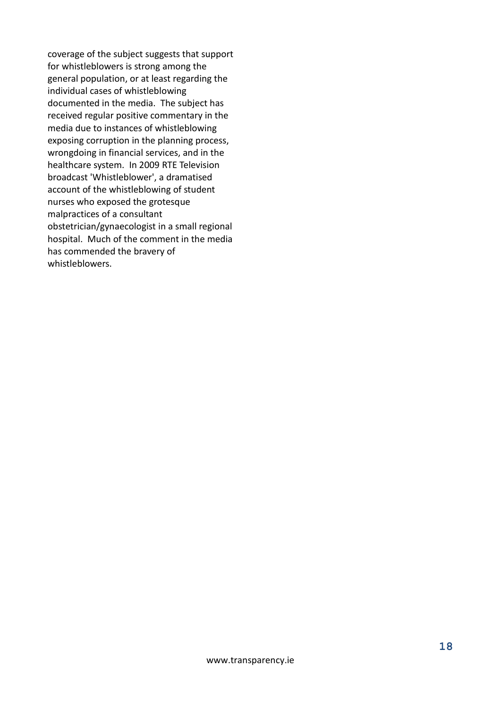coverage of the subject suggests that support for whistleblowers is strong among the general population, or at least regarding the individual cases of whistleblowing documented in the media. The subject has received regular positive commentary in the media due to instances of whistleblowing exposing corruption in the planning process, wrongdoing in financial services, and in the healthcare system. In 2009 RTE Television broadcast 'Whistleblower', a dramatised account of the whistleblowing of student nurses who exposed the grotesque malpractices of a consultant obstetrician/gynaecologist in a small regional hospital. Much of the comment in the media has commended the bravery of whistleblowers.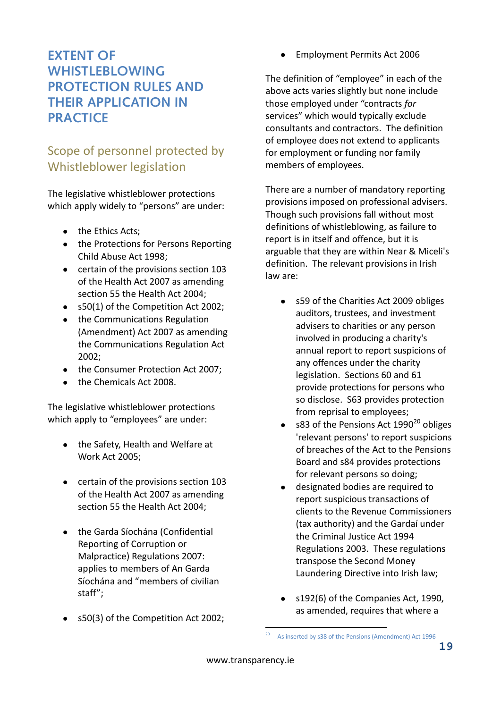# **EXTENT OF WHISTLEBLOWING PROTECTION RULES AND THEIR APPLICATION IN PRACTICE**

# Scope of personnel protected by Whistleblower legislation

The legislative whistleblower protections which apply widely to "persons" are under:

- the Ethics Acts;
- the Protections for Persons Reporting Child Abuse Act 1998;
- certain of the provisions section 103 of the Health Act 2007 as amending section 55 the Health Act 2004;
- s50(1) of the Competition Act 2002;
- the Communications Regulation (Amendment) Act 2007 as amending the Communications Regulation Act 2002;
- the Consumer Protection Act 2007;
- the Chemicals Act 2008.

The legislative whistleblower protections which apply to "employees" are under:

- the Safety, Health and Welfare at Work Act 2005;
- certain of the provisions section 103 of the Health Act 2007 as amending section 55 the Health Act 2004;
- the Garda Síochána (Confidential Reporting of Corruption or Malpractice) Regulations 2007: applies to members of An Garda Síochána and "members of civilian staff";
- s50(3) of the Competition Act 2002;

Employment Permits Act 2006  $\bullet$ 

The definition of "employee" in each of the above acts varies slightly but none include those employed under "contracts *for* services" which would typically exclude consultants and contractors. The definition of employee does not extend to applicants for employment or funding nor family members of employees.

There are a number of mandatory reporting provisions imposed on professional advisers. Though such provisions fall without most definitions of whistleblowing, as failure to report is in itself and offence, but it is arguable that they are within Near & Miceli's definition. The relevant provisions in Irish law are:

- s59 of the Charities Act 2009 obliges auditors, trustees, and investment advisers to charities or any person involved in producing a charity's annual report to report suspicions of any offences under the charity legislation. Sections 60 and 61 provide protections for persons who so disclose. S63 provides protection from reprisal to employees;
- s83 of the Pensions Act  $1990^{20}$  obliges 'relevant persons' to report suspicions of breaches of the Act to the Pensions Board and s84 provides protections for relevant persons so doing;
- designated bodies are required to report suspicious transactions of clients to the Revenue Commissioners (tax authority) and the Gardaí under the Criminal Justice Act 1994 Regulations 2003. These regulations transpose the Second Money Laundering Directive into Irish law;
- s192(6) of the Companies Act, 1990, as amended, requires that where a

1

As inserted by s38 of the Pensions (Amendment) Act 1996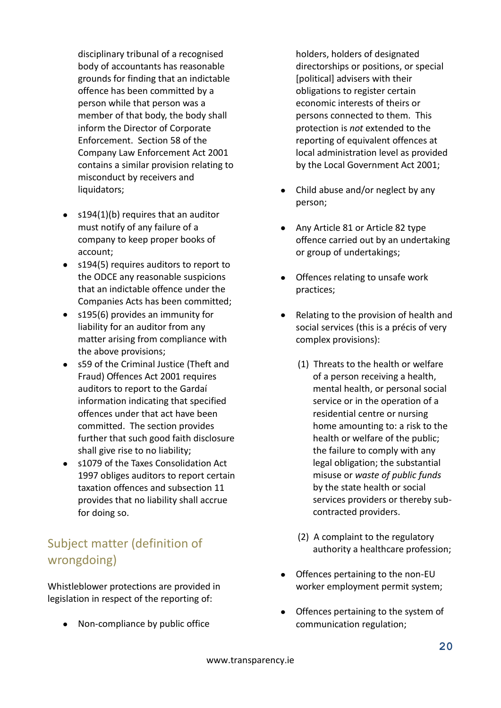disciplinary tribunal of a recognised body of accountants has reasonable grounds for finding that an indictable offence has been committed by a person while that person was a member of that body, the body shall inform the Director of Corporate Enforcement. Section 58 of the Company Law Enforcement Act 2001 contains a similar provision relating to misconduct by receivers and liquidators;

- $\bullet$  s194(1)(b) requires that an auditor must notify of any failure of a company to keep proper books of account;
- s194(5) requires auditors to report to the ODCE any reasonable suspicions that an indictable offence under the Companies Acts has been committed;
- s195(6) provides an immunity for liability for an auditor from any matter arising from compliance with the above provisions;
- s59 of the Criminal Justice (Theft and Fraud) Offences Act 2001 requires auditors to report to the Gardaí information indicating that specified offences under that act have been committed. The section provides further that such good faith disclosure shall give rise to no liability;
- s1079 of the Taxes Consolidation Act  $\bullet$ 1997 obliges auditors to report certain taxation offences and subsection 11 provides that no liability shall accrue for doing so.

# Subject matter (definition of wrongdoing)

Whistleblower protections are provided in legislation in respect of the reporting of:

• Non-compliance by public office

holders, holders of designated directorships or positions, or special [political] advisers with their obligations to register certain economic interests of theirs or persons connected to them. This protection is *not* extended to the reporting of equivalent offences at local administration level as provided by the Local Government Act 2001;

- Child abuse and/or neglect by any person;
- Any Article 81 or Article 82 type offence carried out by an undertaking or group of undertakings;
- Offences relating to unsafe work practices;
- Relating to the provision of health and  $\bullet$ social services (this is a précis of very complex provisions):
	- (1) Threats to the health or welfare of a person receiving a health, mental health, or personal social service or in the operation of a residential centre or nursing home amounting to: a risk to the health or welfare of the public; the failure to comply with any legal obligation; the substantial misuse or *waste of public funds* by the state health or social services providers or thereby subcontracted providers.
	- (2) A complaint to the regulatory authority a healthcare profession;
- Offences pertaining to the non-EU worker employment permit system;
- Offences pertaining to the system of communication regulation;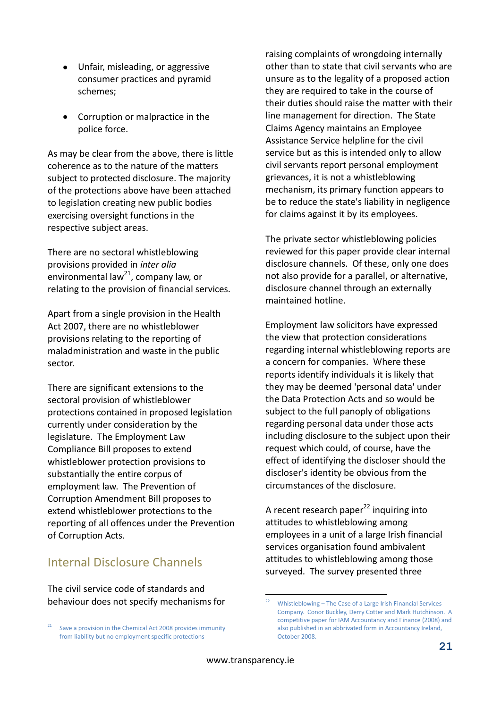- Unfair, misleading, or aggressive consumer practices and pyramid schemes;
- Corruption or malpractice in the  $\bullet$ police force.

As may be clear from the above, there is little coherence as to the nature of the matters subject to protected disclosure. The majority of the protections above have been attached to legislation creating new public bodies exercising oversight functions in the respective subject areas.

There are no sectoral whistleblowing provisions provided in *inter alia* environmental law<sup>21</sup>, company law, or relating to the provision of financial services.

Apart from a single provision in the Health Act 2007, there are no whistleblower provisions relating to the reporting of maladministration and waste in the public sector.

There are significant extensions to the sectoral provision of whistleblower protections contained in proposed legislation currently under consideration by the legislature. The Employment Law Compliance Bill proposes to extend whistleblower protection provisions to substantially the entire corpus of employment law. The Prevention of Corruption Amendment Bill proposes to extend whistleblower protections to the reporting of all offences under the Prevention of Corruption Acts.

### Internal Disclosure Channels

The civil service code of standards and behaviour does not specify mechanisms for raising complaints of wrongdoing internally other than to state that civil servants who are unsure as to the legality of a proposed action they are required to take in the course of their duties should raise the matter with their line management for direction. The State Claims Agency maintains an Employee Assistance Service helpline for the civil service but as this is intended only to allow civil servants report personal employment grievances, it is not a whistleblowing mechanism, its primary function appears to be to reduce the state's liability in negligence for claims against it by its employees.

The private sector whistleblowing policies reviewed for this paper provide clear internal disclosure channels. Of these, only one does not also provide for a parallel, or alternative, disclosure channel through an externally maintained hotline.

Employment law solicitors have expressed the view that protection considerations regarding internal whistleblowing reports are a concern for companies. Where these reports identify individuals it is likely that they may be deemed 'personal data' under the Data Protection Acts and so would be subject to the full panoply of obligations regarding personal data under those acts including disclosure to the subject upon their request which could, of course, have the effect of identifying the discloser should the discloser's identity be obvious from the circumstances of the disclosure.

A recent research paper $^{22}$  inquiring into attitudes to whistleblowing among employees in a unit of a large Irish financial services organisation found ambivalent attitudes to whistleblowing among those surveyed. The survey presented three

<u>.</u>

 $21$ Save a provision in the Chemical Act 2008 provides immunity from liability but no employment specific protections

<sup>22</sup> Whistleblowing – The Case of a Large Irish Financial Services Company. Conor Buckley, Derry Cotter and Mark Hutchinson. A competitive paper for IAM Accountancy and Finance (2008) and also published in an abbrivated form in Accountancy Ireland, October 2008.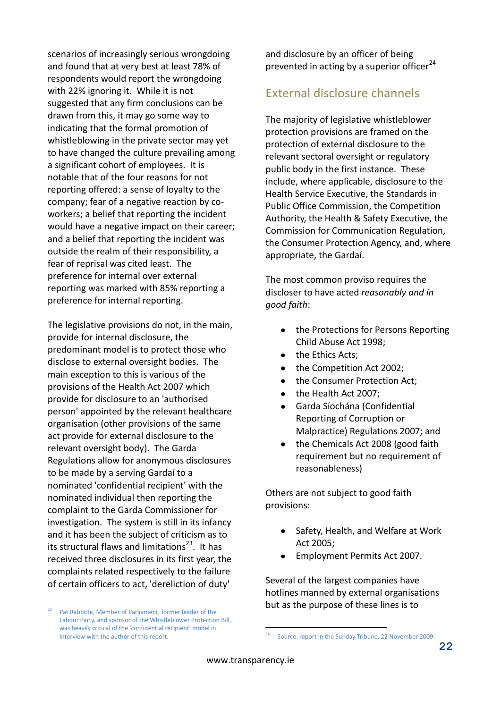scenarios of increasingly serious wrongdoing and found that at very best at least 78% of respondents would report the wrongdoing with 22% ignoring it. While it is not suggested that any firm conclusions can be drawn from this, it may go some way to indicating that the formal promotion of whistleblowing in the private sector may yet to have changed the culture prevailing among a significant cohort of employees. It is notable that of the four reasons for not reporting offered: a sense of loyalty to the company; fear of a negative reaction by coworkers; a belief that reporting the incident would have a negative impact on their career; and a belief that reporting the incident was outside the realm of their responsibility, a fear of reprisal was cited least. The preference for internal over external reporting was marked with 85% reporting a preference for internal reporting.

The legislative provisions do not, in the main, provide for internal disclosure, the predominant model is to protect those who disclose to external oversight bodies. The main exception to this is various of the provisions of the Health Act 2007 which provide for disclosure to an 'authorised person' appointed by the relevant healthcare organisation (other provisions of the same act provide for external disclosure to the relevant oversight body). The Garda Regulations allow for anonymous disclosures to be made by a serving Gardaí to a nominated 'confidential recipient' with the nominated individual then reporting the complaint to the Garda Commissioner for investigation. The system is still in its infancy and it has been the subject of criticism as to its structural flaws and limitations $^{23}$ . It has received three disclosures in its first year, the complaints related respectively to the failure of certain officers to act, 'dereliction of duty'

and disclosure by an officer of being prevented in acting by a superior officer $^{24}$ 

### External disclosure channels

The majority of legislative whistleblower protection provisions are framed on the protection of external disclosure to the relevant sectoral oversight or regulatory public body in the first instance. These include, where applicable, disclosure to the Health Service Executive, the Standards in Public Office Commission, the Competition Authority, the Health & Safety Executive, the Commission for Communication Regulation, the Consumer Protection Agency, and, where appropriate, the Gardaí.

The most common proviso requires the discloser to have acted *reasonably and in good faith*:

- the Protections for Persons Reporting Child Abuse Act 1998;
- the Ethics Acts;
- the Competition Act 2002;
- the Consumer Protection Act;
- the Health Act 2007;
- Garda Síochána (Confidential Reporting of Corruption or Malpractice) Regulations 2007; and
- the Chemicals Act 2008 (good faith  $\bullet$ requirement but no requirement of reasonableness)

Others are not subject to good faith provisions:

- Safety, Health, and Welfare at Work Act 2005;
- Employment Permits Act 2007.

Several of the largest companies have hotlines manned by external organisations but as the purpose of these lines is to

1

 $23$ Pat Rabbitte, Member of Parliament, former leader of the Labour Party, and sponsor of the Whistleblower Protection Bill, was heavily critical of the 'confidential recipient' model in interview with the author of this report.

Source: report in the Sunday Tribune, 22 November 2009.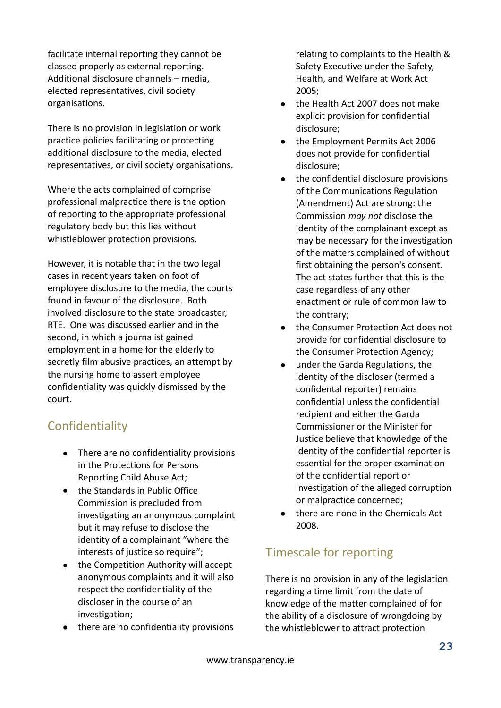facilitate internal reporting they cannot be classed properly as external reporting. Additional disclosure channels – media, elected representatives, civil society organisations.

There is no provision in legislation or work practice policies facilitating or protecting additional disclosure to the media, elected representatives, or civil society organisations.

Where the acts complained of comprise professional malpractice there is the option of reporting to the appropriate professional regulatory body but this lies without whistleblower protection provisions.

However, it is notable that in the two legal cases in recent years taken on foot of employee disclosure to the media, the courts found in favour of the disclosure. Both involved disclosure to the state broadcaster, RTE. One was discussed earlier and in the second, in which a journalist gained employment in a home for the elderly to secretly film abusive practices, an attempt by the nursing home to assert employee confidentiality was quickly dismissed by the court.

### **Confidentiality**

- There are no confidentiality provisions in the Protections for Persons Reporting Child Abuse Act;
- the Standards in Public Office Commission is precluded from investigating an anonymous complaint but it may refuse to disclose the identity of a complainant "where the interests of justice so require";
- $\bullet$ the Competition Authority will accept anonymous complaints and it will also respect the confidentiality of the discloser in the course of an investigation;
- there are no confidentiality provisions

relating to complaints to the Health & Safety Executive under the Safety, Health, and Welfare at Work Act 2005;

- the Health Act 2007 does not make explicit provision for confidential disclosure;
- the Employment Permits Act 2006 does not provide for confidential disclosure;
- the confidential disclosure provisions of the Communications Regulation (Amendment) Act are strong: the Commission *may not* disclose the identity of the complainant except as may be necessary for the investigation of the matters complained of without first obtaining the person's consent. The act states further that this is the case regardless of any other enactment or rule of common law to the contrary;
- the Consumer Protection Act does not provide for confidential disclosure to the Consumer Protection Agency;
- under the Garda Regulations, the identity of the discloser (termed a confidental reporter) remains confidential unless the confidential recipient and either the Garda Commissioner or the Minister for Justice believe that knowledge of the identity of the confidential reporter is essential for the proper examination of the confidential report or investigation of the alleged corruption or malpractice concerned;
- there are none in the Chemicals Act 2008.

# Timescale for reporting

There is no provision in any of the legislation regarding a time limit from the date of knowledge of the matter complained of for the ability of a disclosure of wrongdoing by the whistleblower to attract protection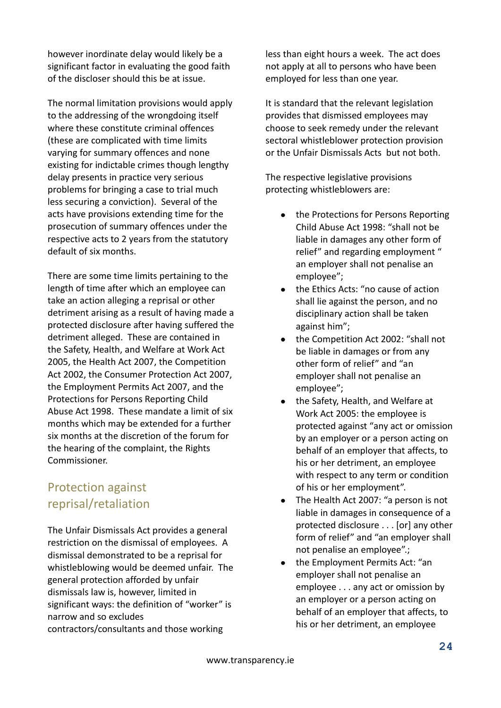however inordinate delay would likely be a significant factor in evaluating the good faith of the discloser should this be at issue.

The normal limitation provisions would apply to the addressing of the wrongdoing itself where these constitute criminal offences (these are complicated with time limits varying for summary offences and none existing for indictable crimes though lengthy delay presents in practice very serious problems for bringing a case to trial much less securing a conviction). Several of the acts have provisions extending time for the prosecution of summary offences under the respective acts to 2 years from the statutory default of six months.

There are some time limits pertaining to the length of time after which an employee can take an action alleging a reprisal or other detriment arising as a result of having made a protected disclosure after having suffered the detriment alleged. These are contained in the Safety, Health, and Welfare at Work Act 2005, the Health Act 2007, the Competition Act 2002, the Consumer Protection Act 2007, the Employment Permits Act 2007, and the Protections for Persons Reporting Child Abuse Act 1998. These mandate a limit of six months which may be extended for a further six months at the discretion of the forum for the hearing of the complaint, the Rights Commissioner.

### Protection against reprisal/retaliation

The Unfair Dismissals Act provides a general restriction on the dismissal of employees. A dismissal demonstrated to be a reprisal for whistleblowing would be deemed unfair. The general protection afforded by unfair dismissals law is, however, limited in significant ways: the definition of "worker" is narrow and so excludes contractors/consultants and those working

less than eight hours a week. The act does not apply at all to persons who have been employed for less than one year.

It is standard that the relevant legislation provides that dismissed employees may choose to seek remedy under the relevant sectoral whistleblower protection provision or the Unfair Dismissals Acts but not both.

The respective legislative provisions protecting whistleblowers are:

- the Protections for Persons Reporting  $\bullet$ Child Abuse Act 1998: "shall not be liable in damages any other form of relief" and regarding employment " an employer shall not penalise an employee";
- the Ethics Acts: "no cause of action shall lie against the person, and no disciplinary action shall be taken against him";
- the Competition Act 2002: "shall not be liable in damages or from any other form of relief" and "an employer shall not penalise an employee";
- the Safety, Health, and Welfare at Work Act 2005: the employee is protected against "any act or omission by an employer or a person acting on behalf of an employer that affects, to his or her detriment, an employee with respect to any term or condition of his or her employment".
- The Health Act 2007: "a person is not liable in damages in consequence of a protected disclosure . . . [or] any other form of relief" and "an employer shall not penalise an employee".;
- the Employment Permits Act: "an employer shall not penalise an employee . . . any act or omission by an employer or a person acting on behalf of an employer that affects, to his or her detriment, an employee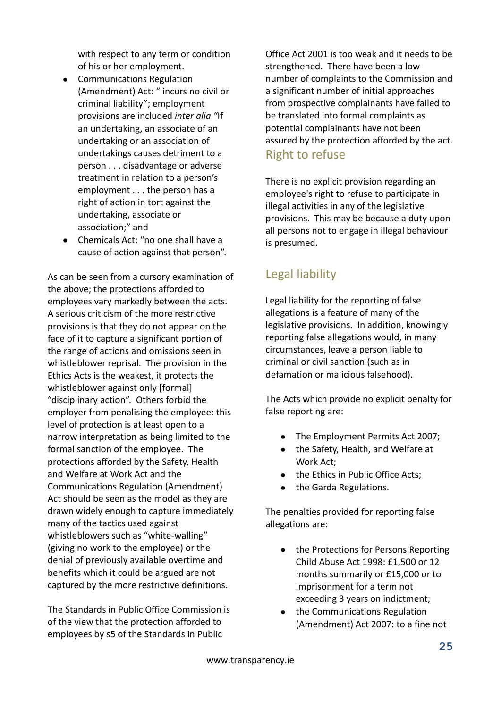with respect to any term or condition of his or her employment.

- Communications Regulation (Amendment) Act: " incurs no civil or criminal liability"; employment provisions are included *inter alia "*If an undertaking, an associate of an undertaking or an association of undertakings causes detriment to a person . . . disadvantage or adverse treatment in relation to a person's employment . . . the person has a right of action in tort against the undertaking, associate or association;" and
- Chemicals Act: "no one shall have a cause of action against that person".

As can be seen from a cursory examination of the above; the protections afforded to employees vary markedly between the acts. A serious criticism of the more restrictive provisions is that they do not appear on the face of it to capture a significant portion of the range of actions and omissions seen in whistleblower reprisal. The provision in the Ethics Acts is the weakest, it protects the whistleblower against only [formal] "disciplinary action". Others forbid the employer from penalising the employee: this level of protection is at least open to a narrow interpretation as being limited to the formal sanction of the employee. The protections afforded by the Safety, Health and Welfare at Work Act and the Communications Regulation (Amendment) Act should be seen as the model as they are drawn widely enough to capture immediately many of the tactics used against whistleblowers such as "white-walling" (giving no work to the employee) or the denial of previously available overtime and benefits which it could be argued are not captured by the more restrictive definitions.

The Standards in Public Office Commission is of the view that the protection afforded to employees by s5 of the Standards in Public

Office Act 2001 is too weak and it needs to be strengthened. There have been a low number of complaints to the Commission and a significant number of initial approaches from prospective complainants have failed to be translated into formal complaints as potential complainants have not been assured by the protection afforded by the act. Right to refuse

### There is no explicit provision regarding an employee's right to refuse to participate in illegal activities in any of the legislative provisions. This may be because a duty upon all persons not to engage in illegal behaviour is presumed.

# Legal liability

Legal liability for the reporting of false allegations is a feature of many of the legislative provisions. In addition, knowingly reporting false allegations would, in many circumstances, leave a person liable to criminal or civil sanction (such as in defamation or malicious falsehood).

The Acts which provide no explicit penalty for false reporting are:

- The Employment Permits Act 2007;
- the Safety, Health, and Welfare at Work Act;
- the Ethics in Public Office Acts:
- the Garda Regulations.

The penalties provided for reporting false allegations are:

- the Protections for Persons Reporting Child Abuse Act 1998: £1,500 or 12 months summarily or £15,000 or to imprisonment for a term not exceeding 3 years on indictment;
- the Communications Regulation (Amendment) Act 2007: to a fine not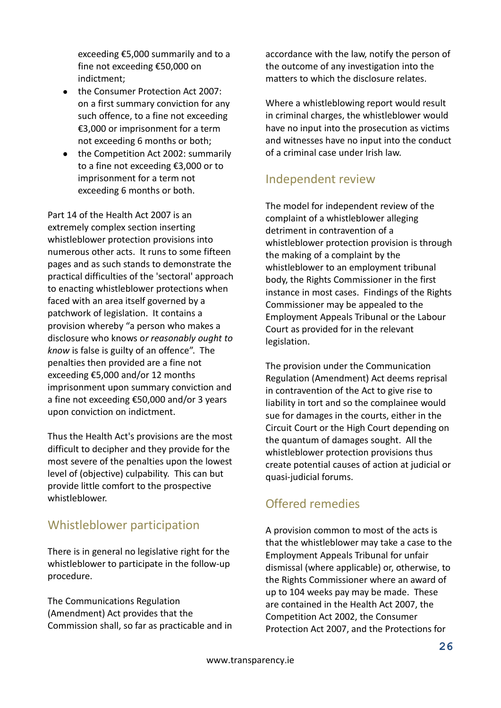exceeding €5,000 summarily and to a fine not exceeding €50,000 on indictment;

- $\bullet$ the Consumer Protection Act 2007: on a first summary conviction for any such offence, to a fine not exceeding €3,000 or imprisonment for a term not exceeding 6 months or both;
- $\bullet$ the Competition Act 2002: summarily to a fine not exceeding €3,000 or to imprisonment for a term not exceeding 6 months or both.

Part 14 of the Health Act 2007 is an extremely complex section inserting whistleblower protection provisions into numerous other acts. It runs to some fifteen pages and as such stands to demonstrate the practical difficulties of the 'sectoral' approach to enacting whistleblower protections when faced with an area itself governed by a patchwork of legislation. It contains a provision whereby "a person who makes a disclosure who knows o*r reasonably ought to know* is false is guilty of an offence". The penalties then provided are a fine not exceeding €5,000 and/or 12 months imprisonment upon summary conviction and a fine not exceeding €50,000 and/or 3 years upon conviction on indictment.

Thus the Health Act's provisions are the most difficult to decipher and they provide for the most severe of the penalties upon the lowest level of (objective) culpability. This can but provide little comfort to the prospective whistleblower.

### Whistleblower participation

There is in general no legislative right for the whistleblower to participate in the follow-up procedure.

The Communications Regulation (Amendment) Act provides that the Commission shall, so far as practicable and in accordance with the law, notify the person of the outcome of any investigation into the matters to which the disclosure relates.

Where a whistleblowing report would result in criminal charges, the whistleblower would have no input into the prosecution as victims and witnesses have no input into the conduct of a criminal case under Irish law.

### Independent review

The model for independent review of the complaint of a whistleblower alleging detriment in contravention of a whistleblower protection provision is through the making of a complaint by the whistleblower to an employment tribunal body, the Rights Commissioner in the first instance in most cases. Findings of the Rights Commissioner may be appealed to the Employment Appeals Tribunal or the Labour Court as provided for in the relevant legislation.

The provision under the Communication Regulation (Amendment) Act deems reprisal in contravention of the Act to give rise to liability in tort and so the complainee would sue for damages in the courts, either in the Circuit Court or the High Court depending on the quantum of damages sought. All the whistleblower protection provisions thus create potential causes of action at judicial or quasi-judicial forums.

### Offered remedies

A provision common to most of the acts is that the whistleblower may take a case to the Employment Appeals Tribunal for unfair dismissal (where applicable) or, otherwise, to the Rights Commissioner where an award of up to 104 weeks pay may be made. These are contained in the Health Act 2007, the Competition Act 2002, the Consumer Protection Act 2007, and the Protections for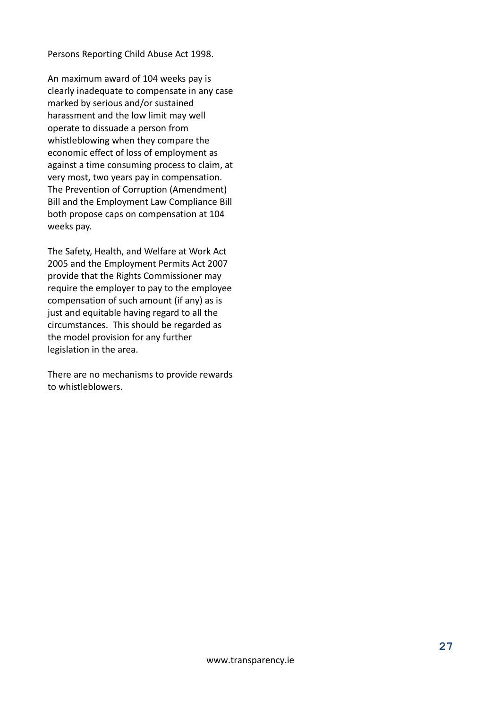Persons Reporting Child Abuse Act 1998.

An maximum award of 104 weeks pay is clearly inadequate to compensate in any case marked by serious and/or sustained harassment and the low limit may well operate to dissuade a person from whistleblowing when they compare the economic effect of loss of employment as against a time consuming process to claim, at very most, two years pay in compensation. The Prevention of Corruption (Amendment) Bill and the Employment Law Compliance Bill both propose caps on compensation at 104 weeks pay.

The Safety, Health, and Welfare at Work Act 2005 and the Employment Permits Act 2007 provide that the Rights Commissioner may require the employer to pay to the employee compensation of such amount (if any) as is just and equitable having regard to all the circumstances. This should be regarded as the model provision for any further legislation in the area.

There are no mechanisms to provide rewards to whistleblowers.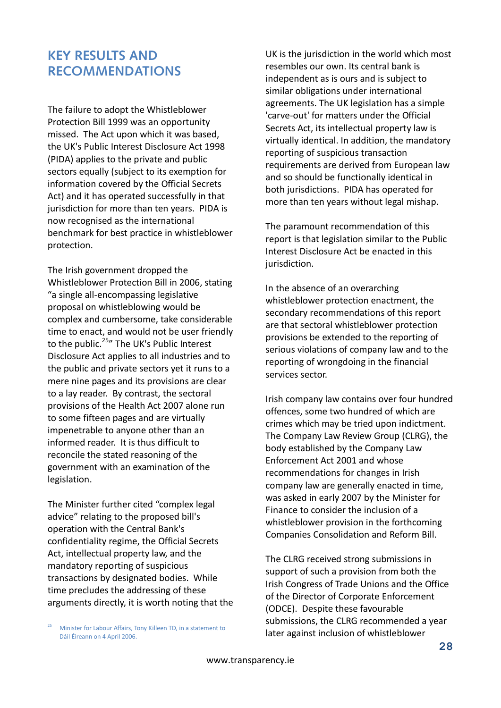### **KEY RESULTS AND RECOMMENDATIONS**

The failure to adopt the Whistleblower Protection Bill 1999 was an opportunity missed. The Act upon which it was based, the UK's Public Interest Disclosure Act 1998 (PIDA) applies to the private and public sectors equally (subject to its exemption for information covered by the Official Secrets Act) and it has operated successfully in that jurisdiction for more than ten years. PIDA is now recognised as the international benchmark for best practice in whistleblower protection.

The Irish government dropped the Whistleblower Protection Bill in 2006, stating "a single all-encompassing legislative proposal on whistleblowing would be complex and cumbersome, take considerable time to enact, and would not be user friendly to the public.<sup>25</sup>" The UK's Public Interest Disclosure Act applies to all industries and to the public and private sectors yet it runs to a mere nine pages and its provisions are clear to a lay reader. By contrast, the sectoral provisions of the Health Act 2007 alone run to some fifteen pages and are virtually impenetrable to anyone other than an informed reader. It is thus difficult to reconcile the stated reasoning of the government with an examination of the legislation.

The Minister further cited "complex legal advice" relating to the proposed bill's operation with the Central Bank's confidentiality regime, the Official Secrets Act, intellectual property law, and the mandatory reporting of suspicious transactions by designated bodies. While time precludes the addressing of these arguments directly, it is worth noting that the

<u>.</u>

UK is the jurisdiction in the world which most resembles our own. Its central bank is independent as is ours and is subject to similar obligations under international agreements. The UK legislation has a simple 'carve-out' for matters under the Official Secrets Act, its intellectual property law is virtually identical. In addition, the mandatory reporting of suspicious transaction requirements are derived from European law and so should be functionally identical in both jurisdictions. PIDA has operated for more than ten years without legal mishap.

The paramount recommendation of this report is that legislation similar to the Public Interest Disclosure Act be enacted in this jurisdiction.

In the absence of an overarching whistleblower protection enactment, the secondary recommendations of this report are that sectoral whistleblower protection provisions be extended to the reporting of serious violations of company law and to the reporting of wrongdoing in the financial services sector.

Irish company law contains over four hundred offences, some two hundred of which are crimes which may be tried upon indictment. The Company Law Review Group (CLRG), the body established by the Company Law Enforcement Act 2001 and whose recommendations for changes in Irish company law are generally enacted in time, was asked in early 2007 by the Minister for Finance to consider the inclusion of a whistleblower provision in the forthcoming Companies Consolidation and Reform Bill.

The CLRG received strong submissions in support of such a provision from both the Irish Congress of Trade Unions and the Office of the Director of Corporate Enforcement (ODCE). Despite these favourable submissions, the CLRG recommended a year later against inclusion of whistleblower

<sup>25</sup> Minister for Labour Affairs, Tony Killeen TD, in a statement to Dáil Éireann on 4 April 2006.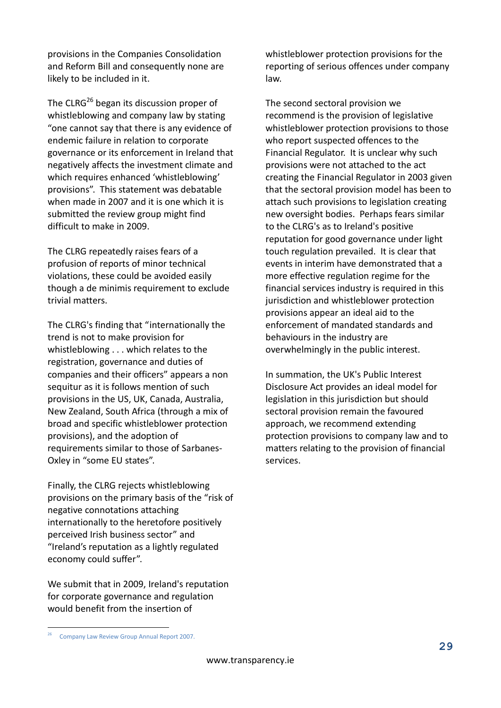provisions in the Companies Consolidation and Reform Bill and consequently none are likely to be included in it.

The CLRG<sup>26</sup> began its discussion proper of whistleblowing and company law by stating "one cannot say that there is any evidence of endemic failure in relation to corporate governance or its enforcement in Ireland that negatively affects the investment climate and which requires enhanced 'whistleblowing' provisions". This statement was debatable when made in 2007 and it is one which it is submitted the review group might find difficult to make in 2009.

The CLRG repeatedly raises fears of a profusion of reports of minor technical violations, these could be avoided easily though a de minimis requirement to exclude trivial matters.

The CLRG's finding that "internationally the trend is not to make provision for whistleblowing . . . which relates to the registration, governance and duties of companies and their officers" appears a non sequitur as it is follows mention of such provisions in the US, UK, Canada, Australia, New Zealand, South Africa (through a mix of broad and specific whistleblower protection provisions), and the adoption of requirements similar to those of Sarbanes-Oxley in "some EU states".

Finally, the CLRG rejects whistleblowing provisions on the primary basis of the "risk of negative connotations attaching internationally to the heretofore positively perceived Irish business sector" and "Ireland's reputation as a lightly regulated economy could suffer".

We submit that in 2009, Ireland's reputation for corporate governance and regulation would benefit from the insertion of

whistleblower protection provisions for the reporting of serious offences under company law.

The second sectoral provision we recommend is the provision of legislative whistleblower protection provisions to those who report suspected offences to the Financial Regulator. It is unclear why such provisions were not attached to the act creating the Financial Regulator in 2003 given that the sectoral provision model has been to attach such provisions to legislation creating new oversight bodies. Perhaps fears similar to the CLRG's as to Ireland's positive reputation for good governance under light touch regulation prevailed. It is clear that events in interim have demonstrated that a more effective regulation regime for the financial services industry is required in this jurisdiction and whistleblower protection provisions appear an ideal aid to the enforcement of mandated standards and behaviours in the industry are overwhelmingly in the public interest.

In summation, the UK's Public Interest Disclosure Act provides an ideal model for legislation in this jurisdiction but should sectoral provision remain the favoured approach, we recommend extending protection provisions to company law and to matters relating to the provision of financial services.

1

<sup>&</sup>lt;sup>26</sup> Company Law Review Group Annual Report 2007.